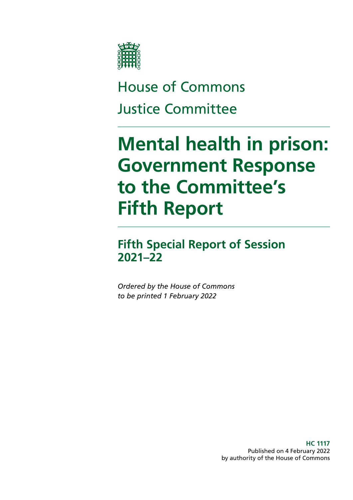

# House of Commons Justice Committee

# **Mental health in prison: Government Response to the Committee's Fifth Report**

# **Fifth Special Report of Session 2021–22**

*Ordered by the House of Commons to be printed 1 February 2022*

> **HC 1117** Published on 4 February 2022 by authority of the House of Commons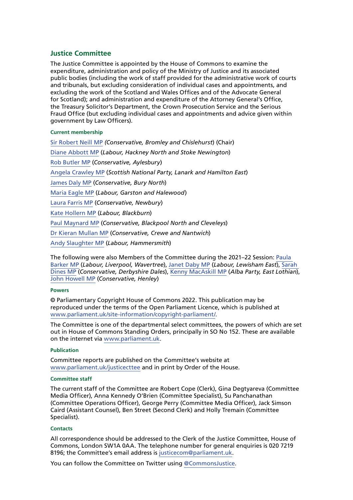# **Justice Committee**

The Justice Committee is appointed by the House of Commons to examine the expenditure, administration and policy of the Ministry of Justice and its associated public bodies (including the work of staff provided for the administrative work of courts and tribunals, but excluding consideration of individual cases and appointments, and excluding the work of the Scotland and Wales Offices and of the Advocate General for Scotland); and administration and expenditure of the Attorney General's Office, the Treasury Solicitor's Department, the Crown Prosecution Service and the Serious Fraud Office (but excluding individual cases and appointments and advice given within government by Law Officers).

#### **Current membership**

[Sir Robert Neill MP](https://members.parliament.uk/member/1601/contact) *(Conservative, Bromley and Chislehurst*) (Chair) [Diane Abbott MP](https://members.parliament.uk/member/172/contact) (*Labour, Hackney North and Stoke Newington*) [Rob Butler MP](https://members.parliament.uk/member/4745/contact) (*Conservative, Aylesbury*) [Angela Crawley MP](https://members.parliament.uk/member/4469/contact) (*Scottish National Party, Lanark and Hamilton East*) [James Daly MP](https://members.parliament.uk/member/4854/contact) (*Conservative, Bury North*) [Maria Eagle MP](https://members.parliament.uk/member/483/contact) (*Labour, Garston and Halewood*) [Laura Farris MP](https://members.parliament.uk/member/4826/contact) (*Conservative, Newbury*) [Kate Hollern MP](https://members.parliament.uk/member/4363/contact) (*Labour, Blackburn*) [Paul Maynard MP](https://members.parliament.uk/member/3926/contact) (*Conservative, Blackpool North and Cleveleys*) [Dr Kieran Mullan MP](https://members.parliament.uk/member/4860/contact) (*Conservative, Crewe and Nantwich*) [Andy Slaughter MP](https://www.parliament.uk/biographies/commons/andy-slaughter/1516) (*Labour, Hammersmith*)

The following were also Members of the Committee during the 2021–22 Session: [Paula](https://members.parliament.uk/member/4828/contact)  [Barker MP](https://members.parliament.uk/member/4828/contact) (*Labour, Liverpool, Wavertree*), [Janet Daby MP](https://members.parliament.uk/member/4698/contact) (*Labour, Lewisham East*), [Sarah](https://members.parliament.uk/member/4816/contact)  [Dines MP](https://members.parliament.uk/member/4816/contact) (*Conservative, Derbyshire Dales*), [Kenny MacAskill MP](https://members.parliament.uk/member/4772/contact) (*Alba Party, East Lothian*), [John Howell MP](https://www.parliament.uk/biographies/commons/john-howell/1606) (*Conservative, Henley*)

#### **Powers**

© Parliamentary Copyright House of Commons 2022. This publication may be reproduced under the terms of the Open Parliament Licence, which is published at [www.parliament.uk/site-information/copyright-parliament/](https://www.parliament.uk/site-information/copyright-parliament/).

The Committee is one of the departmental select committees, the powers of which are set out in House of Commons Standing Orders, principally in SO No 152. These are available on the internet via [www.parliament.uk.](http://www.parliament.uk)

#### **Publication**

Committee reports are published on the Committee's website at [www.parliament.uk/justicecttee](https://committees.parliament.uk/committee/102/justice-committee) and in print by Order of the House.

#### **Committee staff**

The current staff of the Committee are Robert Cope (Clerk), Gina Degtyareva (Committee Media Officer), Anna Kennedy O'Brien (Committee Specialist), Su Panchanathan (Committee Operations Officer), George Perry (Committee Media Officer), Jack Simson Caird (Assistant Counsel), Ben Street (Second Clerk) and Holly Tremain (Committee Specialist).

#### **Contacts**

All correspondence should be addressed to the Clerk of the Justice Committee, House of Commons, London SW1A 0AA. The telephone number for general enquiries is 020 7219 8196; the Committee's email address is [justicecom@parliament.uk.](mailto:justicecom%40parliament.uk?subject=)

You can follow the Committee on Twitter using [@CommonsJustice](https://twitter.com/CommonsJustice).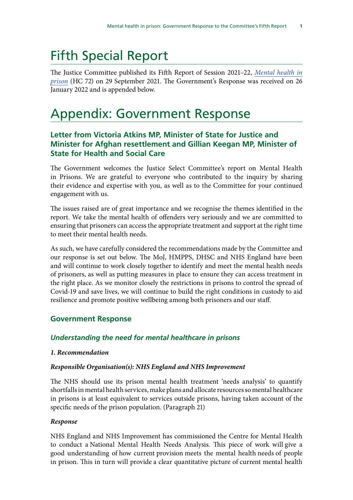# Fifth Special Report

The Justice Committee published its Fifth Report of Session 2021–22, *[Mental health in](chrome-extension://efaidnbmnnnibpcajpcglclefindmkaj/viewer.html?pdfurl=https%3A%2F%2Fcommittees.parliament.uk%2Fpublications%2F7455%2Fdocuments%2F78054%2Fdefault%2F&chunk=true) [prison](chrome-extension://efaidnbmnnnibpcajpcglclefindmkaj/viewer.html?pdfurl=https%3A%2F%2Fcommittees.parliament.uk%2Fpublications%2F7455%2Fdocuments%2F78054%2Fdefault%2F&chunk=true)* (HC 72) on 29 September 2021. The Government's Response was received on 26 January 2022 and is appended below.

# Appendix: Government Response

# **Letter from Victoria Atkins MP, Minister of State for Justice and Minister for Afghan resettlement and Gillian Keegan MP, Minister of State for Health and Social Care**

The Government welcomes the Justice Select Committee's report on Mental Health in Prisons. We are grateful to everyone who contributed to the inquiry by sharing their evidence and expertise with you, as well as to the Committee for your continued engagement with us.

The issues raised are of great importance and we recognise the themes identified in the report. We take the mental health of offenders very seriously and we are committed to ensuring that prisoners can access the appropriate treatment and support at the right time to meet their mental health needs.

As such, we have carefully considered the recommendations made by the Committee and our response is set out below. The MoJ, HMPPS, DHSC and NHS England have been and will continue to work closely together to identify and meet the mental health needs of prisoners, as well as putting measures in place to ensure they can access treatment in the right place. As we monitor closely the restrictions in prisons to control the spread of Covid-19 and save lives, we will continue to build the right conditions in custody to aid resilience and promote positive wellbeing among both prisoners and our staff.

# **Government Response**

# *Understanding the need for mental healthcare in prisons*

#### *1. Recommendation*

#### *Responsible Organisation(s): NHS England and NHS Improvement*

The NHS should use its prison mental health treatment 'needs analysis' to quantify shortfalls in mental health services, make plans and allocate resources so mental healthcare in prisons is at least equivalent to services outside prisons, having taken account of the specific needs of the prison population. (Paragraph 21)

#### *Response*

NHS England and NHS Improvement has commissioned the Centre for Mental Health to conduct a National Mental Health Needs Analysis. This piece of work will give a good understanding of how current provision meets the mental health needs of people in prison. This in turn will provide a clear quantitative picture of current mental health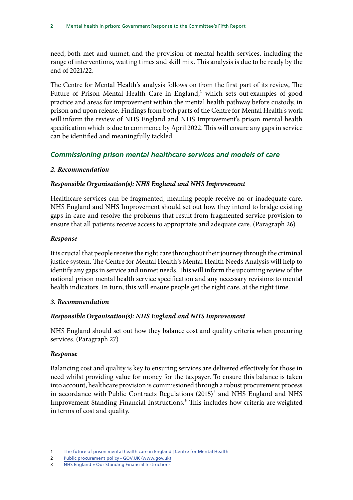need, both met and unmet, and the provision of mental health services, including the range of interventions, waiting times and skill mix. This analysis is due to be ready by the end of 2021/22.

The Centre for Mental Health's analysis follows on from the first part of its review, The Future of Prison Mental Health Care in England,<sup>1</sup> which sets out examples of good practice and areas for improvement within the mental health pathway before custody, in prison and upon release. Findings from both parts of the Centre for Mental Health's work will inform the review of NHS England and NHS Improvement's prison mental health specification which is due to commence by April 2022. This will ensure any gaps in service can be identified and meaningfully tackled.

# *Commissioning prison mental healthcare services and models of care*

# *2. Recommendation*

# *Responsible Organisation(s): NHS England and NHS Improvement*

Healthcare services can be fragmented, meaning people receive no or inadequate care. NHS England and NHS Improvement should set out how they intend to bridge existing gaps in care and resolve the problems that result from fragmented service provision to ensure that all patients receive access to appropriate and adequate care. (Paragraph 26)

# *Response*

It is crucial that people receive the right care throughout their journey through the criminal justice system. The Centre for Mental Health's Mental Health Needs Analysis will help to identify any gaps in service and unmet needs. This will inform the upcoming review of the national prison mental health service specification and any necessary revisions to mental health indicators. In turn, this will ensure people get the right care, at the right time.

#### *3. Recommendation*

# *Responsible Organisation(s): NHS England and NHS Improvement*

NHS England should set out how they balance cost and quality criteria when procuring services. (Paragraph 27)

# *Response*

Balancing cost and quality is key to ensuring services are delivered effectively for those in need whilst providing value for money for the taxpayer. To ensure this balance is taken into account, healthcare provision is commissioned through a robust procurement process in accordance with Public Contracts Regulations  $(2015)^2$  and NHS England and NHS Improvement Standing Financial Instructions.3 This includes how criteria are weighted in terms of cost and quality.

<sup>1</sup> [The future of prison mental health care in England | Centre for Mental Health](https://www.centreformentalhealth.org.uk/publications/future-prison-mental-health-care-england)

<sup>2</sup> [Public procurement policy - GOV.UK \(www.gov.uk\)](https://www.gov.uk/guidance/public-sector-procurement-policy)

<sup>3</sup> [NHS England » Our Standing Financial Instructions](https://www.england.nhs.uk/publication/standing-financial-instructions/)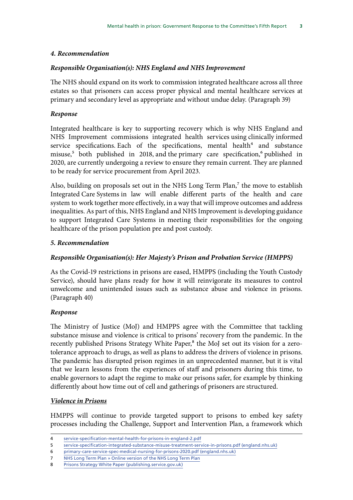#### *4. Recommendation*

### *Responsible Organisation(s): NHS England and NHS Improvement*

The NHS should expand on its work to commission integrated healthcare across all three estates so that prisoners can access proper physical and mental healthcare services at primary and secondary level as appropriate and without undue delay. (Paragraph 39)

### *Response*

Integrated healthcare is key to supporting recovery which is why NHS England and NHS Improvement commissions integrated health services using clinically informed service specifications. Each of the specifications, mental health $4$  and substance misuse,<sup>5</sup> both published in 2018, and the primary care specification,<sup>6</sup> published in 2020, are currently undergoing a review to ensure they remain current. They are planned to be ready for service procurement from April 2023.

Also, building on proposals set out in the NHS Long Term Plan, $<sup>7</sup>$  the move to establish</sup> Integrated Care Systems in law will enable different parts of the health and care system to work together more effectively, in a way that will improve outcomes and address inequalities. As part of this, NHS England and NHS Improvement is developing guidance to support Integrated Care Systems in meeting their responsibilities for the ongoing healthcare of the prison population pre and post custody.

# *5. Recommendation*

# *Responsible Organisation(s): Her Majesty's Prison and Probation Service (HMPPS)*

As the Covid-19 restrictions in prisons are eased, HMPPS (including the Youth Custody Service), should have plans ready for how it will reinvigorate its measures to control unwelcome and unintended issues such as substance abuse and violence in prisons. (Paragraph 40)

#### *Response*

The Ministry of Justice (MoJ) and HMPPS agree with the Committee that tackling substance misuse and violence is critical to prisons' recovery from the pandemic. In the recently published Prisons Strategy White Paper,<sup>8</sup> the MoJ set out its vision for a zerotolerance approach to drugs, as well as plans to address the drivers of violence in prisons. The pandemic has disrupted prison regimes in an unprecedented manner, but it is vital that we learn lessons from the experiences of staff and prisoners during this time, to enable governors to adapt the regime to make our prisons safer, for example by thinking differently about how time out of cell and gatherings of prisoners are structured.

#### *Violence in Prisons*

HMPPS will continue to provide targeted support to prisons to embed key safety processes including the Challenge, Support and Intervention Plan, a framework which

<sup>4</sup> [service-specification-mental-health-for-prisons-in-england-2.pdf](https://www.england.nhs.uk/wp-content/uploads/2018/10/service-specification-mental-health-for-prisons-in-england-2.pdf)

<sup>5</sup> [service-specification-integrated-substance-misuse-treatment-service-in-prisons.pdf \(england.nhs.uk\)](https://www.england.nhs.uk/wp-content/uploads/2018/05/service-specification-integrated-substance-misuse-treatment-service-in-prisons.pdf)

<sup>6</sup> [primary-care-service-spec-medical-nursing-for-prisons-2020.pdf \(england.nhs.uk\)](https://www.england.nhs.uk/wp-content/uploads/2020/03/primary-care-service-spec-medical-nursing-for-prisons-2020.pdf)

<sup>7</sup> [NHS Long Term Plan » Online version of the NHS Long Term Plan](https://www.longtermplan.nhs.uk/online-version/)

<sup>8</sup> [Prisons Strategy White Paper \(publishing.service.gov.uk\)](https://assets.publishing.service.gov.uk/government/uploads/system/uploads/attachment_data/file/1038765/prisons-strategy-white-paper.pdf)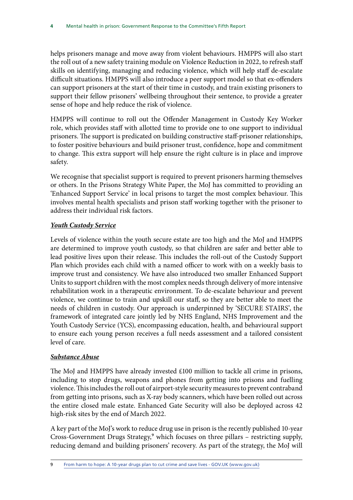helps prisoners manage and move away from violent behaviours. HMPPS will also start the roll out of a new safety training module on Violence Reduction in 2022, to refresh staff skills on identifying, managing and reducing violence, which will help staff de-escalate difficult situations. HMPPS will also introduce a peer support model so that ex-offenders can support prisoners at the start of their time in custody, and train existing prisoners to support their fellow prisoners' wellbeing throughout their sentence, to provide a greater sense of hope and help reduce the risk of violence.

HMPPS will continue to roll out the Offender Management in Custody Key Worker role, which provides staff with allotted time to provide one to one support to individual prisoners. The support is predicated on building constructive staff-prisoner relationships, to foster positive behaviours and build prisoner trust, confidence, hope and commitment to change. This extra support will help ensure the right culture is in place and improve safety.

We recognise that specialist support is required to prevent prisoners harming themselves or others. In the Prisons Strategy White Paper, the MoJ has committed to providing an 'Enhanced Support Service' in local prisons to target the most complex behaviour. This involves mental health specialists and prison staff working together with the prisoner to address their individual risk factors.

# *Youth Custody Service*

Levels of violence within the youth secure estate are too high and the MoJ and HMPPS are determined to improve youth custody, so that children are safer and better able to lead positive lives upon their release. This includes the roll-out of the Custody Support Plan which provides each child with a named officer to work with on a weekly basis to improve trust and consistency. We have also introduced two smaller Enhanced Support Units to support children with the most complex needs through delivery of more intensive rehabilitation work in a therapeutic environment. To de-escalate behaviour and prevent violence, we continue to train and upskill our staff, so they are better able to meet the needs of children in custody. Our approach is underpinned by 'SECURE STAIRS', the framework of integrated care jointly led by NHS England, NHS Improvement and the Youth Custody Service (YCS), encompassing education, health, and behavioural support to ensure each young person receives a full needs assessment and a tailored consistent level of care.

# *Substance Abuse*

The MoJ and HMPPS have already invested £100 million to tackle all crime in prisons, including to stop drugs, weapons and phones from getting into prisons and fuelling violence. This includes the roll out of airport-style security measures to prevent contraband from getting into prisons, such as X-ray body scanners, which have been rolled out across the entire closed male estate. Enhanced Gate Security will also be deployed across 42 high-risk sites by the end of March 2022.

A key part of the MoJ's work to reduce drug use in prison is the recently published 10-year Cross-Government Drugs Strategy,<sup>9</sup> which focuses on three pillars - restricting supply, reducing demand and building prisoners' recovery. As part of the strategy, the MoJ will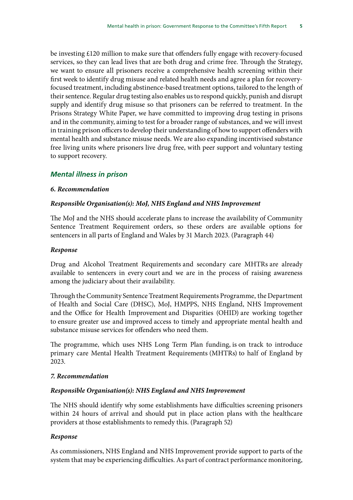be investing £120 million to make sure that offenders fully engage with recovery-focused services, so they can lead lives that are both drug and crime free. Through the Strategy, we want to ensure all prisoners receive a comprehensive health screening within their first week to identify drug misuse and related health needs and agree a plan for recoveryfocused treatment, including abstinence-based treatment options, tailored to the length of their sentence. Regular drug testing also enables us to respond quickly, punish and disrupt supply and identify drug misuse so that prisoners can be referred to treatment. In the Prisons Strategy White Paper, we have committed to improving drug testing in prisons and in the community, aiming to test for a broader range of substances, and we will invest in training prison officers to develop their understanding of how to support offenders with mental health and substance misuse needs. We are also expanding incentivised substance free living units where prisoners live drug free, with peer support and voluntary testing to support recovery.

# *Mental illness in prison*

#### *6. Recommendation*

#### *Responsible Organisation(s): MoJ, NHS England and NHS Improvement*

The MoJ and the NHS should accelerate plans to increase the availability of Community Sentence Treatment Requirement orders, so these orders are available options for sentencers in all parts of England and Wales by 31 March 2023. (Paragraph 44)

#### *Response*

Drug and Alcohol Treatment Requirements and secondary care MHTRs are already available to sentencers in every court and we are in the process of raising awareness among the judiciary about their availability.

Through the Community Sentence Treatment Requirements Programme, the Department of Health and Social Care (DHSC), MoJ, HMPPS, NHS England, NHS Improvement and the Office for Health Improvement and Disparities (OHID) are working together to ensure greater use and improved access to timely and appropriate mental health and substance misuse services for offenders who need them.

The programme, which uses NHS Long Term Plan funding, is on track to introduce primary care Mental Health Treatment Requirements (MHTRs) to half of England by 2023.

#### *7. Recommendation*

#### *Responsible Organisation(s): NHS England and NHS Improvement*

The NHS should identify why some establishments have difficulties screening prisoners within 24 hours of arrival and should put in place action plans with the healthcare providers at those establishments to remedy this. (Paragraph 52)

#### *Response*

As commissioners, NHS England and NHS Improvement provide support to parts of the system that may be experiencing difficulties. As part of contract performance monitoring,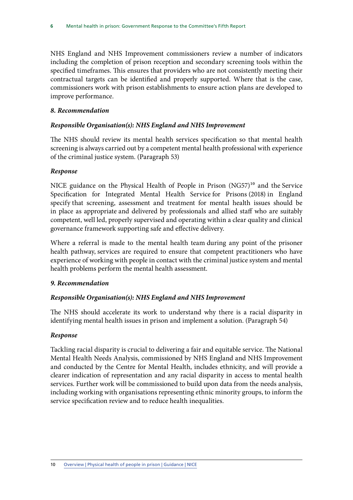NHS England and NHS Improvement commissioners review a number of indicators including the completion of prison reception and secondary screening tools within the specified timeframes. This ensures that providers who are not consistently meeting their contractual targets can be identified and properly supported. Where that is the case, commissioners work with prison establishments to ensure action plans are developed to improve performance.

#### *8. Recommendation*

#### *Responsible Organisation(s): NHS England and NHS Improvement*

The NHS should review its mental health services specification so that mental health screening is always carried out by a competent mental health professional with experience of the criminal justice system. (Paragraph 53)

#### *Response*

NICE guidance on the Physical Health of People in Prison  $(NG57)^{10}$  and the Service Specification for Integrated Mental Health Service for Prisons (2018) in England specify that screening, assessment and treatment for mental health issues should be in place as appropriate and delivered by professionals and allied staff who are suitably competent, well led, properly supervised and operating within a clear quality and clinical governance framework supporting safe and effective delivery.

Where a referral is made to the mental health team during any point of the prisoner health pathway, services are required to ensure that competent practitioners who have experience of working with people in contact with the criminal justice system and mental health problems perform the mental health assessment.

#### *9. Recommendation*

#### *Responsible Organisation(s): NHS England and NHS Improvement*

The NHS should accelerate its work to understand why there is a racial disparity in identifying mental health issues in prison and implement a solution. (Paragraph 54)

#### *Response*

Tackling racial disparity is crucial to delivering a fair and equitable service. The National Mental Health Needs Analysis, commissioned by NHS England and NHS Improvement and conducted by the Centre for Mental Health, includes ethnicity, and will provide a clearer indication of representation and any racial disparity in access to mental health services. Further work will be commissioned to build upon data from the needs analysis, including working with organisations representing ethnic minority groups, to inform the service specification review and to reduce health inequalities.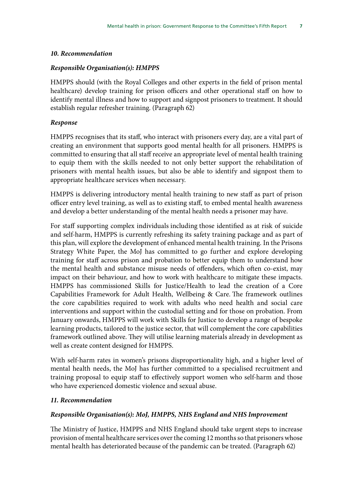#### *10. Recommendation*

#### *Responsible Organisation(s): HMPPS*

HMPPS should (with the Royal Colleges and other experts in the field of prison mental healthcare) develop training for prison officers and other operational staff on how to identify mental illness and how to support and signpost prisoners to treatment. It should establish regular refresher training. (Paragraph 62)

#### *Response*

HMPPS recognises that its staff, who interact with prisoners every day, are a vital part of creating an environment that supports good mental health for all prisoners. HMPPS is committed to ensuring that all staff receive an appropriate level of mental health training to equip them with the skills needed to not only better support the rehabilitation of prisoners with mental health issues, but also be able to identify and signpost them to appropriate healthcare services when necessary.

HMPPS is delivering introductory mental health training to new staff as part of prison officer entry level training, as well as to existing staff, to embed mental health awareness and develop a better understanding of the mental health needs a prisoner may have.

For staff supporting complex individuals including those identified as at risk of suicide and self-harm, HMPPS is currently refreshing its safety training package and as part of this plan, will explore the development of enhanced mental health training. In the Prisons Strategy White Paper, the MoJ has committed to go further and explore developing training for staff across prison and probation to better equip them to understand how the mental health and substance misuse needs of offenders, which often co-exist, may impact on their behaviour, and how to work with healthcare to mitigate these impacts. HMPPS has commissioned Skills for Justice/Health to lead the creation of a Core Capabilities Framework for Adult Health, Wellbeing & Care. The framework outlines the core capabilities required to work with adults who need health and social care interventions and support within the custodial setting and for those on probation. From January onwards, HMPPS will work with Skills for Justice to develop a range of bespoke learning products, tailored to the justice sector, that will complement the core capabilities framework outlined above. They will utilise learning materials already in development as well as create content designed for HMPPS.

With self-harm rates in women's prisons disproportionality high, and a higher level of mental health needs, the MoJ has further committed to a specialised recruitment and training proposal to equip staff to effectively support women who self-harm and those who have experienced domestic violence and sexual abuse.

#### *11. Recommendation*

#### *Responsible Organisation(s): MoJ, HMPPS, NHS England and NHS Improvement*

The Ministry of Justice, HMPPS and NHS England should take urgent steps to increase provision of mental healthcare services over the coming 12 months so that prisoners whose mental health has deteriorated because of the pandemic can be treated. (Paragraph 62)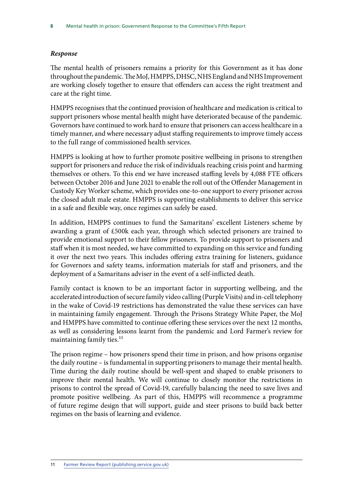# *Response*

The mental health of prisoners remains a priority for this Government as it has done throughout the pandemic. The MoJ, HMPPS, DHSC, NHS England and NHS Improvement are working closely together to ensure that offenders can access the right treatment and care at the right time.

HMPPS recognises that the continued provision of healthcare and medication is critical to support prisoners whose mental health might have deteriorated because of the pandemic. Governors have continued to work hard to ensure that prisoners can access healthcare in a timely manner, and where necessary adjust staffing requirements to improve timely access to the full range of commissioned health services.

HMPPS is looking at how to further promote positive wellbeing in prisons to strengthen support for prisoners and reduce the risk of individuals reaching crisis point and harming themselves or others. To this end we have increased staffing levels by 4,088 FTE officers between October 2016 and June 2021 to enable the roll out of the Offender Management in Custody Key Worker scheme, which provides one-to-one support to every prisoner across the closed adult male estate. HMPPS is supporting establishments to deliver this service in a safe and flexible way, once regimes can safely be eased.

In addition, HMPPS continues to fund the Samaritans' excellent Listeners scheme by awarding a grant of £500k each year, through which selected prisoners are trained to provide emotional support to their fellow prisoners. To provide support to prisoners and staff when it is most needed, we have committed to expanding on this service and funding it over the next two years. This includes offering extra training for listeners, guidance for Governors and safety teams, information materials for staff and prisoners, and the deployment of a Samaritans adviser in the event of a self-inflicted death.

Family contact is known to be an important factor in supporting wellbeing, and the accelerated introduction of secure family video calling (Purple Visits) and in-cell telephony in the wake of Covid-19 restrictions has demonstrated the value these services can have in maintaining family engagement. Through the Prisons Strategy White Paper, the MoJ and HMPPS have committed to continue offering these services over the next 12 months, as well as considering lessons learnt from the pandemic and Lord Farmer's review for maintaining family ties.<sup>11</sup>

The prison regime – how prisoners spend their time in prison, and how prisons organise the daily routine – is fundamental in supporting prisoners to manage their mental health. Time during the daily routine should be well-spent and shaped to enable prisoners to improve their mental health. We will continue to closely monitor the restrictions in prisons to control the spread of Covid-19, carefully balancing the need to save lives and promote positive wellbeing. As part of this, HMPPS will recommence a programme of future regime design that will support, guide and steer prisons to build back better regimes on the basis of learning and evidence.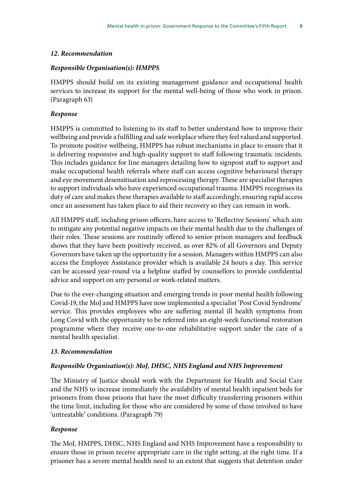#### *12. Recommendation*

#### *Responsible Organisation(s): HMPPS*

HMPPS should build on its existing management guidance and occupational health services to increase its support for the mental well-being of those who work in prison. (Paragraph 63)

#### *Response*

HMPPS is committed to listening to its staff to better understand how to improve their wellbeing and provide a fulfilling and safe workplace where they feel valued and supported. To promote positive wellbeing, HMPPS has robust mechanisms in place to ensure that it is delivering responsive and high-quality support to staff following traumatic incidents. This includes guidance for line managers detailing how to signpost staff to support and make occupational health referrals where staff can access cognitive behavioural therapy and eye movement desensitisation and reprocessing therapy. These are specialist therapies to support individuals who have experienced occupational trauma. HMPPS recognises its duty of care and makes these therapies available to staff accordingly, ensuring rapid access once an assessment has taken place to aid their recovery so they can remain in work.

All HMPPS staff, including prison officers, have access to 'Reflective Sessions' which aim to mitigate any potential negative impacts on their mental health due to the challenges of their roles. These sessions are routinely offered to senior prison managers and feedback shows that they have been positively received, as over 82% of all Governors and Deputy Governors have taken up the opportunity for a session. Managers within HMPPS can also access the Employee Assistance provider which is available 24 hours a day. This service can be accessed year-round via a helpline staffed by counsellors to provide confidential advice and support on any personal or work-related matters.

Due to the ever-changing situation and emerging trends in poor mental health following Covid-19, the MoJ and HMPPS have now implemented a specialist 'Post Covid Syndrome' service. This provides employees who are suffering mental ill health symptoms from Long Covid with the opportunity to be referred into an eight-week functional restoration programme where they receive one-to-one rehabilitative support under the care of a mental health specialist.

#### *13. Recommendation*

#### *Responsible Organisation(s): MoJ, DHSC, NHS England and NHS Improvement*

The Ministry of Justice should work with the Department for Health and Social Care and the NHS to increase immediately the availability of mental health inpatient beds for prisoners from those prisons that have the most difficulty transferring prisoners within the time limit, including for those who are considered by some of those involved to have 'untreatable' conditions. (Paragraph 79)

#### *Response*

The MoJ, HMPPS, DHSC, NHS England and NHS Improvement have a responsibility to ensure those in prison receive appropriate care in the right setting, at the right time. If a prisoner has a severe mental health need to an extent that suggests that detention under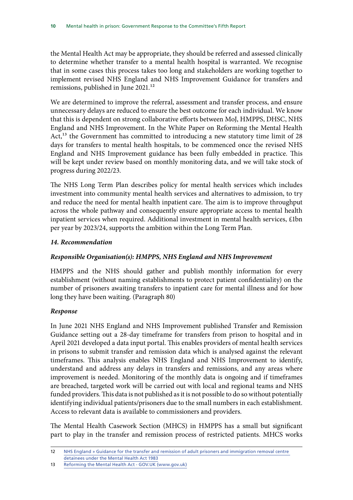the Mental Health Act may be appropriate, they should be referred and assessed clinically to determine whether transfer to a mental health hospital is warranted. We recognise that in some cases this process takes too long and stakeholders are working together to implement revised NHS England and NHS Improvement Guidance for transfers and remissions, published in June 2021.<sup>12</sup>

We are determined to improve the referral, assessment and transfer process, and ensure unnecessary delays are reduced to ensure the best outcome for each individual. We know that this is dependent on strong collaborative efforts between MoJ, HMPPS, DHSC, NHS England and NHS Improvement. In the White Paper on Reforming the Mental Health Act,<sup>13</sup> the Government has committed to introducing a new statutory time limit of 28 days for transfers to mental health hospitals, to be commenced once the revised NHS England and NHS Improvement guidance has been fully embedded in practice. This will be kept under review based on monthly monitoring data, and we will take stock of progress during 2022/23.

The NHS Long Term Plan describes policy for mental health services which includes investment into community mental health services and alternatives to admission, to try and reduce the need for mental health inpatient care. The aim is to improve throughput across the whole pathway and consequently ensure appropriate access to mental health inpatient services when required. Additional investment in mental health services, £1bn per year by 2023/24, supports the ambition within the Long Term Plan.

# *14. Recommendation*

# *Responsible Organisation(s): HMPPS, NHS England and NHS Improvement*

HMPPS and the NHS should gather and publish monthly information for every establishment (without naming establishments to protect patient confidentiality) on the number of prisoners awaiting transfers to inpatient care for mental illness and for how long they have been waiting. (Paragraph 80)

# *Response*

In June 2021 NHS England and NHS Improvement published Transfer and Remission Guidance setting out a 28-day timeframe for transfers from prison to hospital and in April 2021 developed a data input portal. This enables providers of mental health services in prisons to submit transfer and remission data which is analysed against the relevant timeframes. This analysis enables NHS England and NHS Improvement to identify, understand and address any delays in transfers and remissions, and any areas where improvement is needed. Monitoring of the monthly data is ongoing and if timeframes are breached, targeted work will be carried out with local and regional teams and NHS funded providers. This data is not published as it is not possible to do so without potentially identifying individual patients/prisoners due to the small numbers in each establishment. Access to relevant data is available to commissioners and providers.

The Mental Health Casework Section (MHCS) in HMPPS has a small but significant part to play in the transfer and remission process of restricted patients. MHCS works

<sup>12</sup> [NHS England » Guidance for the transfer and remission of adult prisoners and immigration removal centre](https://www.england.nhs.uk/publication/guidance-for-the-transfer-and-remission-of-adult-prisoners-and-immigration-removal-centre-detainees-under-the-mental-health-act-1983/)  [detainees under the Mental Health Act 1983](https://www.england.nhs.uk/publication/guidance-for-the-transfer-and-remission-of-adult-prisoners-and-immigration-removal-centre-detainees-under-the-mental-health-act-1983/)

<sup>13</sup> Reforming the Mental Health Act - GOV.UK (www.gov.uk)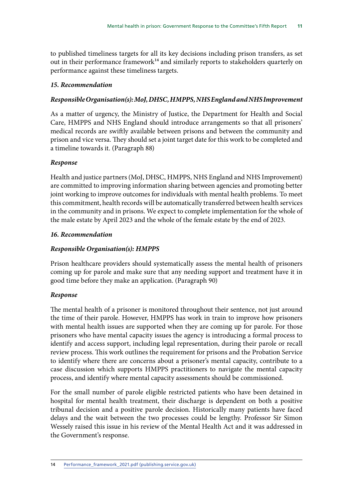to published timeliness targets for all its key decisions including prison transfers, as set out in their performance framework<sup>14</sup> and similarly reports to stakeholders quarterly on performance against these timeliness targets.

# *15. Recommendation*

# *Responsible Organisation(s): MoJ, DHSC, HMPPS, NHS England and NHS Improvement*

As a matter of urgency, the Ministry of Justice, the Department for Health and Social Care, HMPPS and NHS England should introduce arrangements so that all prisoners' medical records are swiftly available between prisons and between the community and prison and vice versa. They should set a joint target date for this work to be completed and a timeline towards it. (Paragraph 88)

# *Response*

Health and justice partners (MoJ, DHSC, HMPPS, NHS England and NHS Improvement) are committed to improving information sharing between agencies and promoting better joint working to improve outcomes for individuals with mental health problems. To meet this commitment, health records will be automatically transferred between health services in the community and in prisons. We expect to complete implementation for the whole of the male estate by April 2023 and the whole of the female estate by the end of 2023.

# *16. Recommendation*

# *Responsible Organisation(s): HMPPS*

Prison healthcare providers should systematically assess the mental health of prisoners coming up for parole and make sure that any needing support and treatment have it in good time before they make an application. (Paragraph 90)

# *Response*

The mental health of a prisoner is monitored throughout their sentence, not just around the time of their parole. However, HMPPS has work in train to improve how prisoners with mental health issues are supported when they are coming up for parole. For those prisoners who have mental capacity issues the agency is introducing a formal process to identify and access support, including legal representation, during their parole or recall review process. This work outlines the requirement for prisons and the Probation Service to identify where there are concerns about a prisoner's mental capacity, contribute to a case discussion which supports HMPPS practitioners to navigate the mental capacity process, and identify where mental capacity assessments should be commissioned.

For the small number of parole eligible restricted patients who have been detained in hospital for mental health treatment, their discharge is dependent on both a positive tribunal decision and a positive parole decision. Historically many patients have faced delays and the wait between the two processes could be lengthy. Professor Sir Simon Wessely raised this issue in his review of the Mental Health Act and it was addressed in the Government's response.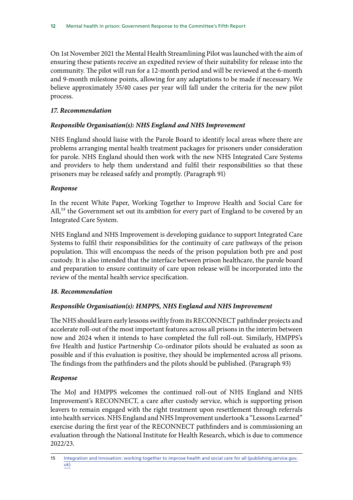On 1st November 2021 the Mental Health Streamlining Pilot was launched with the aim of ensuring these patients receive an expedited review of their suitability for release into the community. The pilot will run for a 12-month period and will be reviewed at the 6-month and 9-month milestone points, allowing for any adaptations to be made if necessary. We believe approximately 35/40 cases per year will fall under the criteria for the new pilot process.

# *17. Recommendation*

# *Responsible Organisation(s): NHS England and NHS Improvement*

NHS England should liaise with the Parole Board to identify local areas where there are problems arranging mental health treatment packages for prisoners under consideration for parole. NHS England should then work with the new NHS Integrated Care Systems and providers to help them understand and fulfil their responsibilities so that these prisoners may be released safely and promptly. (Paragraph 91)

# *Response*

In the recent White Paper, Working Together to Improve Health and Social Care for All,<sup>15</sup> the Government set out its ambition for every part of England to be covered by an Integrated Care System.

NHS England and NHS Improvement is developing guidance to support Integrated Care Systems to fulfil their responsibilities for the continuity of care pathways of the prison population. This will encompass the needs of the prison population both pre and post custody. It is also intended that the interface between prison healthcare, the parole board and preparation to ensure continuity of care upon release will be incorporated into the review of the mental health service specification.

# *18. Recommendation*

# *Responsible Organisation(s): HMPPS, NHS England and NHS Improvement*

The NHS should learn early lessons swiftly from its RECONNECT pathfinder projects and accelerate roll-out of the most important features across all prisons in the interim between now and 2024 when it intends to have completed the full roll-out. Similarly, HMPPS's five Health and Justice Partnership Co-ordinator pilots should be evaluated as soon as possible and if this evaluation is positive, they should be implemented across all prisons. The findings from the pathfinders and the pilots should be published. (Paragraph 93)

# *Response*

The MoJ and HMPPS welcomes the continued roll-out of NHS England and NHS Improvement's RECONNECT, a care after custody service, which is supporting prison leavers to remain engaged with the right treatment upon resettlement through referrals into health services. NHS England and NHS Improvement undertook a "Lessons Learned" exercise during the first year of the RECONNECT pathfinders and is commissioning an evaluation through the National Institute for Health Research, which is due to commence 2022/23.

<sup>15</sup> [Integration and Innovation: working together to improve health and social care for all \(publishing.service.gov.](https://assets.publishing.service.gov.uk/government/uploads/system/uploads/attachment_data/file/960548/integration-and-innovation-working-together-to-improve-health-and-social-care-for-all-web-version.pdf) [uk\)](https://assets.publishing.service.gov.uk/government/uploads/system/uploads/attachment_data/file/960548/integration-and-innovation-working-together-to-improve-health-and-social-care-for-all-web-version.pdf)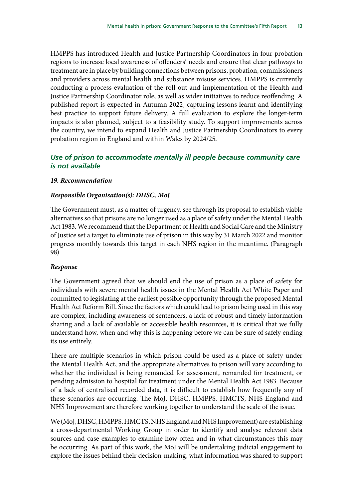HMPPS has introduced Health and Justice Partnership Coordinators in four probation regions to increase local awareness of offenders' needs and ensure that clear pathways to treatment are in place by building connections between prisons, probation, commissioners and providers across mental health and substance misuse services. HMPPS is currently conducting a process evaluation of the roll-out and implementation of the Health and Justice Partnership Coordinator role, as well as wider initiatives to reduce reoffending. A published report is expected in Autumn 2022, capturing lessons learnt and identifying best practice to support future delivery. A full evaluation to explore the longer-term impacts is also planned, subject to a feasibility study. To support improvements across the country, we intend to expand Health and Justice Partnership Coordinators to every probation region in England and within Wales by 2024/25.

# *Use of prison to accommodate mentally ill people because community care is not available*

#### *19. Recommendation*

#### *Responsible Organisation(s): DHSC, MoJ*

The Government must, as a matter of urgency, see through its proposal to establish viable alternatives so that prisons are no longer used as a place of safety under the Mental Health Act 1983. We recommend that the Department of Health and Social Care and the Ministry of Justice set a target to eliminate use of prison in this way by 31 March 2022 and monitor progress monthly towards this target in each NHS region in the meantime. (Paragraph 98)

#### *Response*

The Government agreed that we should end the use of prison as a place of safety for individuals with severe mental health issues in the Mental Health Act White Paper and committed to legislating at the earliest possible opportunity through the proposed Mental Health Act Reform Bill. Since the factors which could lead to prison being used in this way are complex, including awareness of sentencers, a lack of robust and timely information sharing and a lack of available or accessible health resources, it is critical that we fully understand how, when and why this is happening before we can be sure of safely ending its use entirely.

There are multiple scenarios in which prison could be used as a place of safety under the Mental Health Act, and the appropriate alternatives to prison will vary according to whether the individual is being remanded for assessment, remanded for treatment, or pending admission to hospital for treatment under the Mental Health Act 1983. Because of a lack of centralised recorded data, it is difficult to establish how frequently any of these scenarios are occurring. The MoJ, DHSC, HMPPS, HMCTS, NHS England and NHS Improvement are therefore working together to understand the scale of the issue.

We (MoJ, DHSC, HMPPS, HMCTS, NHS England and NHS Improvement) are establishing a cross-departmental Working Group in order to identify and analyse relevant data sources and case examples to examine how often and in what circumstances this may be occurring. As part of this work, the MoJ will be undertaking judicial engagement to explore the issues behind their decision-making, what information was shared to support